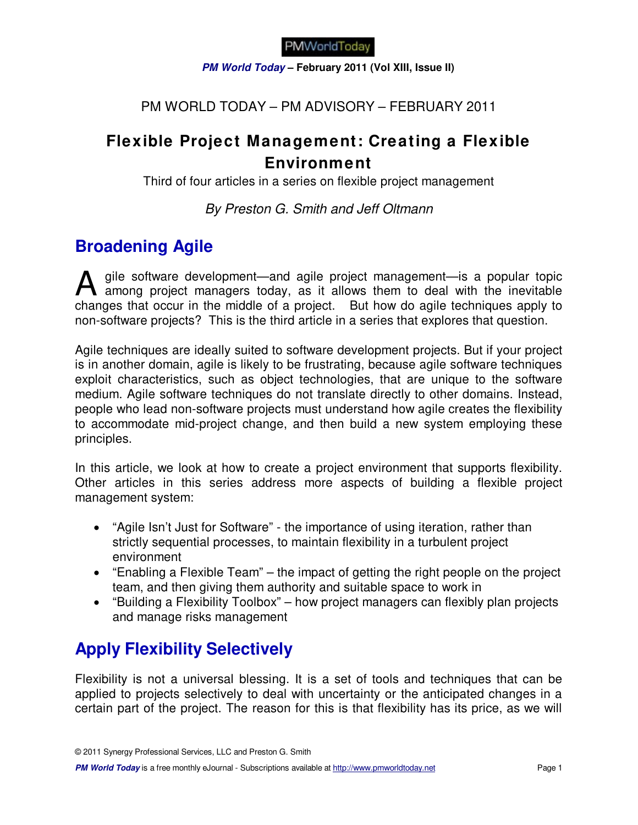**PM World Today – February 2011 (Vol XIII, Issue II)** 

### PM WORLD TODAY – PM ADVISORY – FEBRUARY 2011

## **Flexible Project Management: Creating a Flexible Environment**

Third of four articles in a series on flexible project management

By Preston G. Smith and Jeff Oltmann

# **Broadening Agile**

gile software development—and agile project management—is a popular topic A gile software development—and agile project management—is a popular topic<br>among project managers today, as it allows them to deal with the inevitable changes that occur in the middle of a project. But how do agile techniques apply to non-software projects? This is the third article in a series that explores that question.

Agile techniques are ideally suited to software development projects. But if your project is in another domain, agile is likely to be frustrating, because agile software techniques exploit characteristics, such as object technologies, that are unique to the software medium. Agile software techniques do not translate directly to other domains. Instead, people who lead non-software projects must understand how agile creates the flexibility to accommodate mid-project change, and then build a new system employing these principles.

In this article, we look at how to create a project environment that supports flexibility. Other articles in this series address more aspects of building a flexible project management system:

- "Agile Isn't Just for Software" the importance of using iteration, rather than strictly sequential processes, to maintain flexibility in a turbulent project environment
- "Enabling a Flexible Team" the impact of getting the right people on the project team, and then giving them authority and suitable space to work in
- "Building a Flexibility Toolbox" how project managers can flexibly plan projects and manage risks management

# **Apply Flexibility Selectively**

Flexibility is not a universal blessing. It is a set of tools and techniques that can be applied to projects selectively to deal with uncertainty or the anticipated changes in a certain part of the project. The reason for this is that flexibility has its price, as we will

© 2011 Synergy Professional Services, LLC and Preston G. Smith

**PM World Today** is a free monthly eJournal - Subscriptions available at http://www.pmworldtoday.net Page 1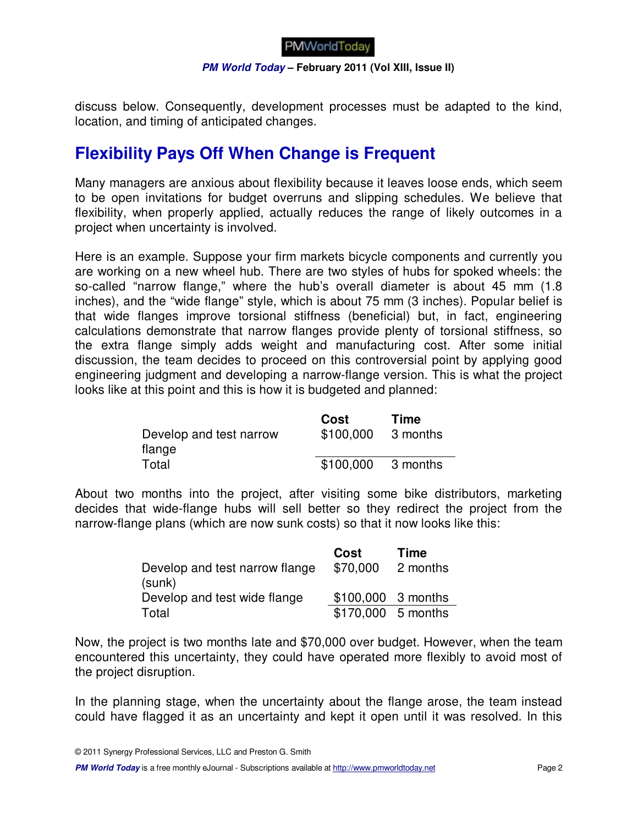

#### **PM World Today – February 2011 (Vol XIII, Issue II)**

discuss below. Consequently, development processes must be adapted to the kind, location, and timing of anticipated changes.

## **Flexibility Pays Off When Change is Frequent**

Many managers are anxious about flexibility because it leaves loose ends, which seem to be open invitations for budget overruns and slipping schedules. We believe that flexibility, when properly applied, actually reduces the range of likely outcomes in a project when uncertainty is involved.

Here is an example. Suppose your firm markets bicycle components and currently you are working on a new wheel hub. There are two styles of hubs for spoked wheels: the so-called "narrow flange," where the hub's overall diameter is about 45 mm (1.8 inches), and the "wide flange" style, which is about 75 mm (3 inches). Popular belief is that wide flanges improve torsional stiffness (beneficial) but, in fact, engineering calculations demonstrate that narrow flanges provide plenty of torsional stiffness, so the extra flange simply adds weight and manufacturing cost. After some initial discussion, the team decides to proceed on this controversial point by applying good engineering judgment and developing a narrow-flange version. This is what the project looks like at this point and this is how it is budgeted and planned:

|                         | Cost      | Time     |
|-------------------------|-----------|----------|
| Develop and test narrow | \$100,000 | 3 months |
| flange                  |           |          |
| Total                   | \$100,000 | 3 months |

About two months into the project, after visiting some bike distributors, marketing decides that wide-flange hubs will sell better so they redirect the project from the narrow-flange plans (which are now sunk costs) so that it now looks like this:

|                                          | Cost               | <b>Time</b> |
|------------------------------------------|--------------------|-------------|
| Develop and test narrow flange<br>(sunk) | \$70,000           | 2 months    |
| Develop and test wide flange             | \$100,000 3 months |             |
| Total                                    | \$170,000 5 months |             |

Now, the project is two months late and \$70,000 over budget. However, when the team encountered this uncertainty, they could have operated more flexibly to avoid most of the project disruption.

In the planning stage, when the uncertainty about the flange arose, the team instead could have flagged it as an uncertainty and kept it open until it was resolved. In this

**PM World Today** is a free monthly eJournal - Subscriptions available at http://www.pmworldtoday.net **Page 2** Page 2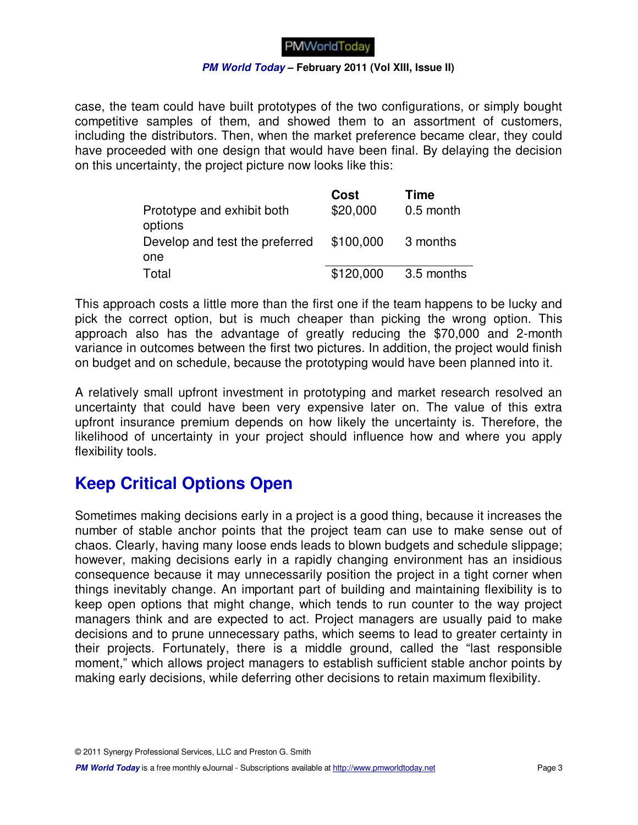#### **PM World Today – February 2011 (Vol XIII, Issue II)**

case, the team could have built prototypes of the two configurations, or simply bought competitive samples of them, and showed them to an assortment of customers, including the distributors. Then, when the market preference became clear, they could have proceeded with one design that would have been final. By delaying the decision on this uncertainty, the project picture now looks like this:

|                                       | Cost      | <b>Time</b> |
|---------------------------------------|-----------|-------------|
| Prototype and exhibit both<br>options | \$20,000  | 0.5 month   |
| Develop and test the preferred        | \$100,000 | 3 months    |
| one                                   |           |             |
| Total                                 | \$120,000 | 3.5 months  |

This approach costs a little more than the first one if the team happens to be lucky and pick the correct option, but is much cheaper than picking the wrong option. This approach also has the advantage of greatly reducing the \$70,000 and 2-month variance in outcomes between the first two pictures. In addition, the project would finish on budget and on schedule, because the prototyping would have been planned into it.

A relatively small upfront investment in prototyping and market research resolved an uncertainty that could have been very expensive later on. The value of this extra upfront insurance premium depends on how likely the uncertainty is. Therefore, the likelihood of uncertainty in your project should influence how and where you apply flexibility tools.

## **Keep Critical Options Open**

Sometimes making decisions early in a project is a good thing, because it increases the number of stable anchor points that the project team can use to make sense out of chaos. Clearly, having many loose ends leads to blown budgets and schedule slippage; however, making decisions early in a rapidly changing environment has an insidious consequence because it may unnecessarily position the project in a tight corner when things inevitably change. An important part of building and maintaining flexibility is to keep open options that might change, which tends to run counter to the way project managers think and are expected to act. Project managers are usually paid to make decisions and to prune unnecessary paths, which seems to lead to greater certainty in their projects. Fortunately, there is a middle ground, called the "last responsible moment," which allows project managers to establish sufficient stable anchor points by making early decisions, while deferring other decisions to retain maximum flexibility.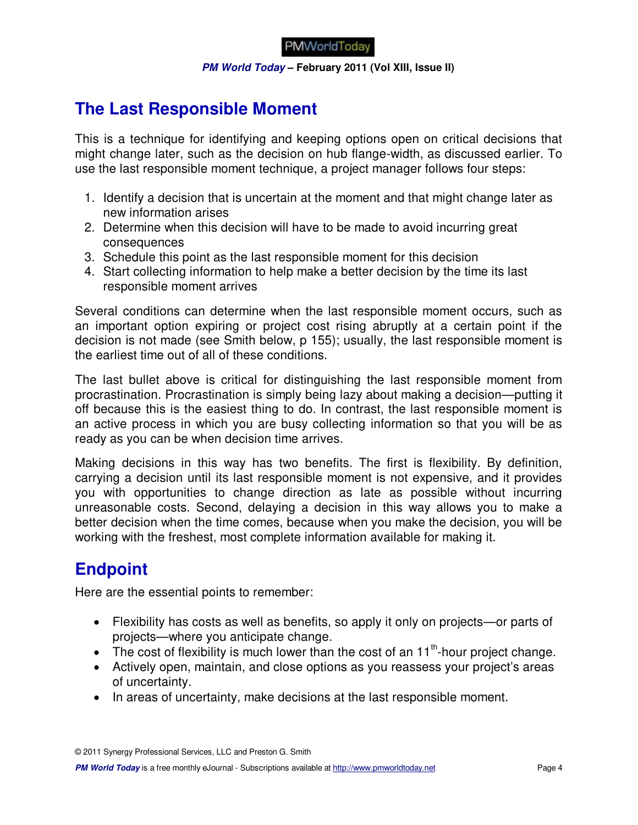**PM World Today – February 2011 (Vol XIII, Issue II)** 

# **The Last Responsible Moment**

This is a technique for identifying and keeping options open on critical decisions that might change later, such as the decision on hub flange-width, as discussed earlier. To use the last responsible moment technique, a project manager follows four steps:

- 1. Identify a decision that is uncertain at the moment and that might change later as new information arises
- 2. Determine when this decision will have to be made to avoid incurring great consequences
- 3. Schedule this point as the last responsible moment for this decision
- 4. Start collecting information to help make a better decision by the time its last responsible moment arrives

Several conditions can determine when the last responsible moment occurs, such as an important option expiring or project cost rising abruptly at a certain point if the decision is not made (see Smith below, p 155); usually, the last responsible moment is the earliest time out of all of these conditions.

The last bullet above is critical for distinguishing the last responsible moment from procrastination. Procrastination is simply being lazy about making a decision—putting it off because this is the easiest thing to do. In contrast, the last responsible moment is an active process in which you are busy collecting information so that you will be as ready as you can be when decision time arrives.

Making decisions in this way has two benefits. The first is flexibility. By definition, carrying a decision until its last responsible moment is not expensive, and it provides you with opportunities to change direction as late as possible without incurring unreasonable costs. Second, delaying a decision in this way allows you to make a better decision when the time comes, because when you make the decision, you will be working with the freshest, most complete information available for making it.

# **Endpoint**

Here are the essential points to remember:

- Flexibility has costs as well as benefits, so apply it only on projects—or parts of projects—where you anticipate change.
- $\bullet$  The cost of flexibility is much lower than the cost of an 11<sup>th</sup>-hour project change.
- Actively open, maintain, and close options as you reassess your project's areas of uncertainty.
- In areas of uncertainty, make decisions at the last responsible moment.

© 2011 Synergy Professional Services, LLC and Preston G. Smith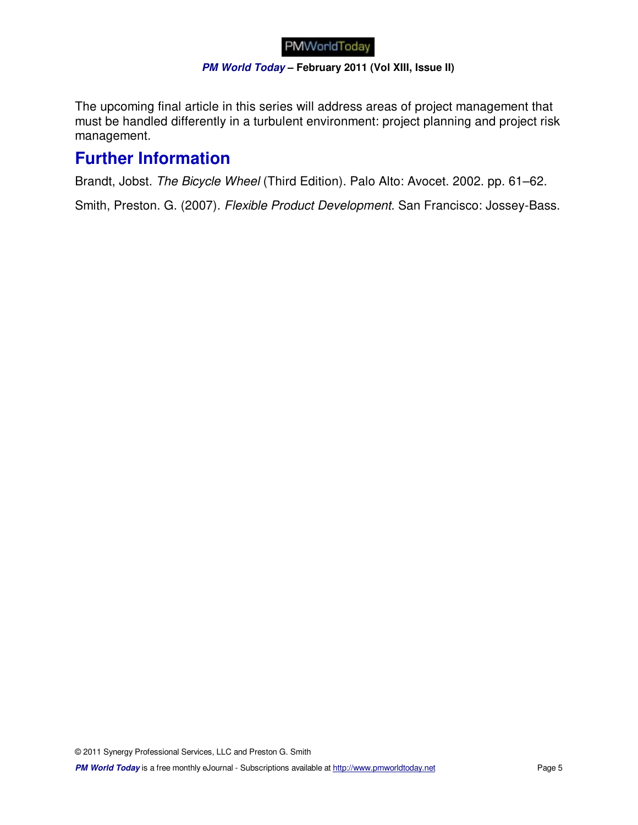#### **PM World Today – February 2011 (Vol XIII, Issue II)**

The upcoming final article in this series will address areas of project management that must be handled differently in a turbulent environment: project planning and project risk management.

## **Further Information**

Brandt, Jobst. The Bicycle Wheel (Third Edition). Palo Alto: Avocet. 2002. pp. 61–62.

Smith, Preston. G. (2007). Flexible Product Development. San Francisco: Jossey-Bass.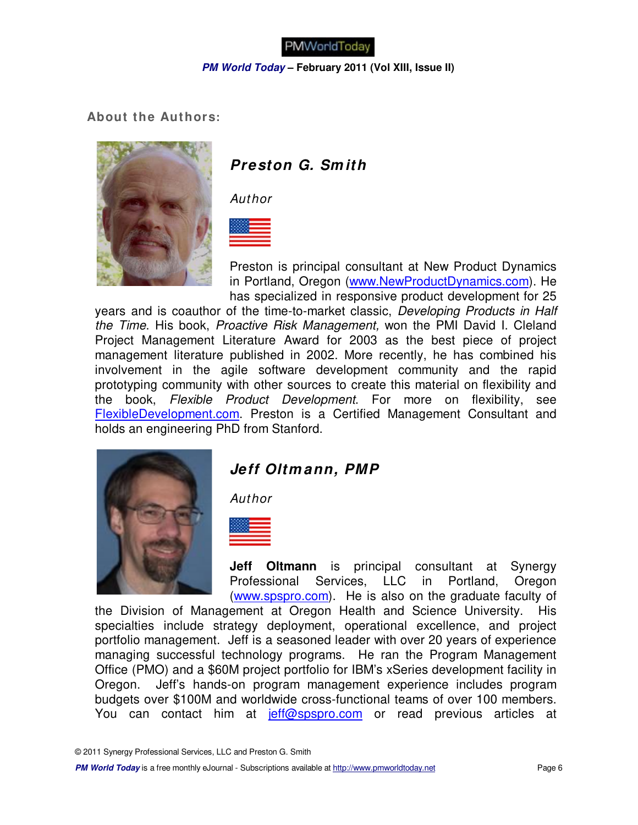#### **PM World Today – February 2011 (Vol XIII, Issue II)**

 **About the Authors:**



### **Preston G. Sm ith**

Author



Preston is principal consultant at New Product Dynamics in Portland, Oregon (www.NewProductDynamics.com). He has specialized in responsive product development for 25

years and is coauthor of the time-to-market classic, Developing Products in Half the Time. His book, Proactive Risk Management, won the PMI David I. Cleland Project Management Literature Award for 2003 as the best piece of project management literature published in 2002. More recently, he has combined his involvement in the agile software development community and the rapid prototyping community with other sources to create this material on flexibility and the book, Flexible Product Development. For more on flexibility, see FlexibleDevelopment.com. Preston is a Certified Management Consultant and holds an engineering PhD from Stanford.



### **Jeff Oltm ann, PMP**

Author



**Jeff Oltmann** is principal consultant at Synergy Professional Services, LLC in Portland, Oregon (www.spspro.com). He is also on the graduate faculty of

the Division of Management at Oregon Health and Science University. His specialties include strategy deployment, operational excellence, and project portfolio management. Jeff is a seasoned leader with over 20 years of experience managing successful technology programs. He ran the Program Management Office (PMO) and a \$60M project portfolio for IBM's xSeries development facility in Oregon. Jeff's hands-on program management experience includes program budgets over \$100M and worldwide cross-functional teams of over 100 members. You can contact him at jeff@spspro.com or read previous articles at